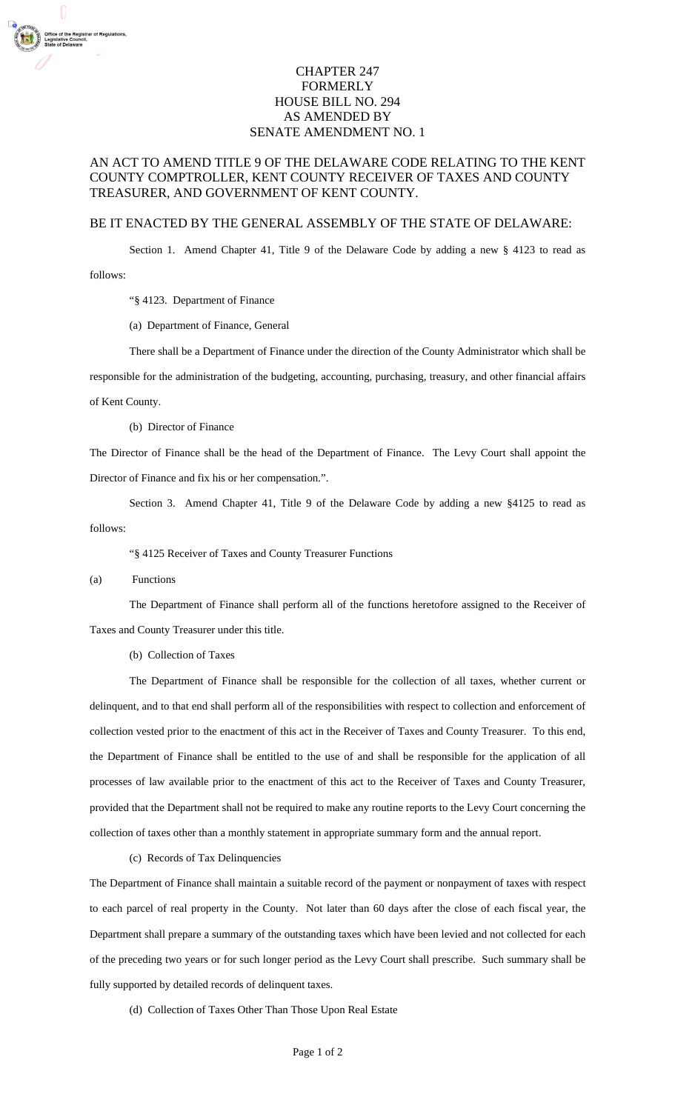## CHAPTER 247 FORMERLY HOUSE BILL NO. 294 AS AMENDED BY SENATE AMENDMENT NO. 1

## AN ACT TO AMEND TITLE 9 OF THE DELAWARE CODE RELATING TO THE KENT COUNTY COMPTROLLER, KENT COUNTY RECEIVER OF TAXES AND COUNTY TREASURER, AND GOVERNMENT OF KENT COUNTY.

## BE IT ENACTED BY THE GENERAL ASSEMBLY OF THE STATE OF DELAWARE:

Section 1. Amend Chapter 41, Title 9 of the Delaware Code by adding a new § 4123 to read as follows:

"§ 4123. Department of Finance

(a) Department of Finance, General

There shall be a Department of Finance under the direction of the County Administrator which shall be

responsible for the administration of the budgeting, accounting, purchasing, treasury, and other financial affairs of Kent County.

(b) Director of Finance

The Director of Finance shall be the head of the Department of Finance. The Levy Court shall appoint the Director of Finance and fix his or her compensation.".

Section 3. Amend Chapter 41, Title 9 of the Delaware Code by adding a new §4125 to read as follows:

"§ 4125 Receiver of Taxes and County Treasurer Functions

## (a) Functions

 The Department of Finance shall perform all of the functions heretofore assigned to the Receiver of Taxes and County Treasurer under this title.

(b) Collection of Taxes

 The Department of Finance shall be responsible for the collection of all taxes, whether current or delinquent, and to that end shall perform all of the responsibilities with respect to collection and enforcement of collection vested prior to the enactment of this act in the Receiver of Taxes and County Treasurer. To this end, the Department of Finance shall be entitled to the use of and shall be responsible for the application of all processes of law available prior to the enactment of this act to the Receiver of Taxes and County Treasurer, provided that the Department shall not be required to make any routine reports to the Levy Court concerning the collection of taxes other than a monthly statement in appropriate summary form and the annual report.

(c) Records of Tax Delinquencies

The Department of Finance shall maintain a suitable record of the payment or nonpayment of taxes with respect to each parcel of real property in the County. Not later than 60 days after the close of each fiscal year, the Department shall prepare a summary of the outstanding taxes which have been levied and not collected for each of the preceding two years or for such longer period as the Levy Court shall prescribe. Such summary shall be fully supported by detailed records of delinquent taxes.

(d) Collection of Taxes Other Than Those Upon Real Estate